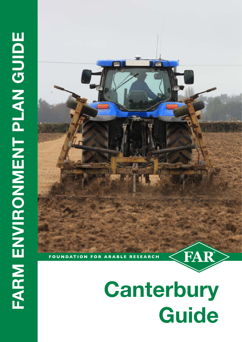

# **Canterbury Guide**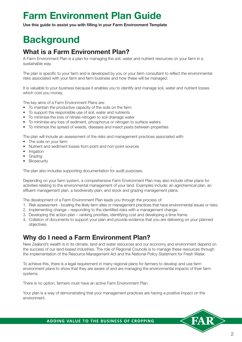# **Farm Environment Plan Guide**

**Use this guide to assist you with filling in your Farm Environment Template**

# **Background**

### **What is a Farm Environment Plan?**

A Farm Environment Plan is a plan for managing the soil, water and nutrient resources on your farm in a sustainable way.

The plan is specific to your farm and is developed by you or your farm consultant to reflect the environmental risks associated with your farm and farm business and how these will be managed.

It is valuable to your business because it enables you to identify and manage soil, water and nutrient losses which cost you money.

The key aims of a Farm Environment Plans are:

- To maintain the productive capacity of the soils on the farm
- To support the responsible use of soil, water and nutrients
- To minimise the loss of nitrate-nitrogen to soil drainage water
- To minimise any loss of sediment, phosphorus or nitrogen to surface waters
- To minimize the spread of weeds, diseases and insect pests between properties

The plan will include an assessment of the risks and management practices associated with:

- The soils on your farm
- Nutrient and sediment losses from point and non-point sources
- Irrigation
- Grazing
- Biosecurity

The plan also includes supporting documentation for audit purposes.

Depending on your farm system, a comprehensive Farm Environment Plan may also include other plans for activities relating to the environmental management of your land. Examples include: an agrichemical plan, an effluent management plan, a biodiversity plan, and stock and grazing management plans.

.

The development of a Farm Environment Plan leads you through the process of:

- 1. Risk assessment locating the likely farm sites or management practices that have environmental issues or risks.
- 2. Implementing change responding to the identified risks with a management change.
- 3. Developing the action plan ranking priorities, identifying cost and developing a time frame.
- 4. Collation of documents to support your plan and provide evidence that you are delivering on your planned objectives.

### **Why do I need a Farm Environment Plan?**

New Zealand's wealth is in its climate, land and water resources and our economy and environment depend on the success of our land-based industries. The role of Regional Councils is to manage these resources through the implementation of the Resource Management Act and the National Policy Statement for Fresh Water.

To achieve this, there is a legal requirement in many regional plans for farmers to develop and use farm environment plans to show that they are aware of and are managing the environmental impacts of their farm systems.

There is no option, farmers must have an active Farm Environment Plan.

Your plan is a way of demonstrating that your management practices are having a positive impact on the environment.

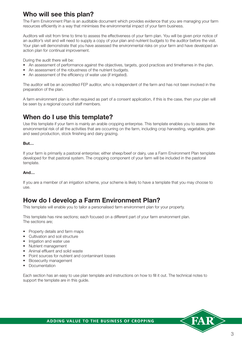### **Who will see this plan?**

The Farm Environment Plan is an auditable document which provides evidence that you are managing your farm resources efficiently in a way that minimises the environmental impact of your farm business.

Auditors will visit from time to time to assess the effectiveness of your farm plan. You will be given prior notice of an auditor's visit and will need to supply a copy of your plan and nutrient budgets to the auditor before the visit. Your plan will demonstrate that you have assessed the environmental risks on your farm and have developed an action plan for continual improvement.

During the audit there will be:

- An assessment of performance against the objectives, targets, good practices and timeframes in the plan.
- An assessment of the robustness of the nutrient budgets.
- An assessment of the efficiency of water use (if irrigated).

The auditor will be an accredited FEP auditor, who is independent of the farm and has not been involved in the preparation of the plan.

A farm environment plan is often required as part of a consent application, if this is the case, then your plan will be seen by a regional council staff members.

### **When do I use this template?**

Use this template if your farm is mainly an arable cropping enterprise. This template enables you to assess the environmental risk of all the activities that are occurring on the farm, including crop harvesting, vegetable, grain and seed production, stock finishing and dairy grazing.

#### **But…**

If your farm is primarily a pastoral enterprise; either sheep/beef or dairy, use a Farm Environment Plan template developed for that pastoral system. The cropping component of your farm will be included in the pastoral template.

#### **And…**

If you are a member of an irrigation scheme, your scheme is likely to have a template that you may choose to use.

### **How do I develop a Farm Environment Plan?**

This template will enable you to tailor a personalised farm environment plan for your property.

This template has nine sections; each focused on a different part of your farm environment plan. The sections are;

- Property details and farm maps
- Cultivation and soil structure
- Irrigation and water use
- Nutrient management
- Animal effluent and solid waste
- Point sources for nutrient and contaminant losses
- Biosecurity management
- Documentation

Each section has an easy to use plan template and instructions on how to fill it out. The technical notes to support the template are in this guide.

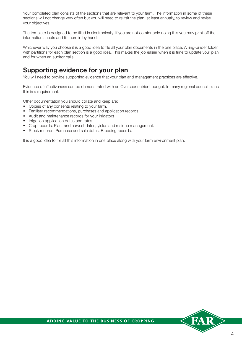Your completed plan consists of the sections that are relevant to your farm. The information in some of these sections will not change very often but you will need to revisit the plan, at least annually, to review and revise your objectives.

The template is designed to be filled in electronically. If you are not comfortable doing this you may print-off the information sheets and fill them in by hand.

Whichever way you choose it is a good idea to file all your plan documents in the one place. A ring-binder folder with partitions for each plan section is a good idea. This makes the job easier when it is time to update your plan and for when an auditor calls.

### **Supporting evidence for your plan**

You will need to provide supporting evidence that your plan and management practices are effective.

Evidence of effectiveness can be demonstrated with an Overseer nutrient budget. In many regional council plans this is a requirement.

Other documentation you should collate and keep are:

- Copies of any consents relating to your farm.
- Fertiliser recommendations, purchases and application records
- Audit and maintenance records for your irrigators
- Irrigation application dates and rates.
- Crop records: Plant and harvest dates, yields and residue management.
- Stock records: Purchase and sale dates. Breeding records.

It is a good idea to file all this information in one place along with your farm environment plan.

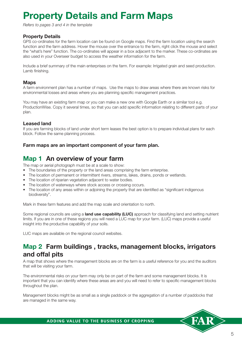# **Property Details and Farm Maps**

*Refers to pages 3 and 4 in the template*

#### **Property Details**

GPS co-ordinates for the farm location can be found on Google maps. Find the farm location using the search function and the farm address. Hover the mouse over the entrance to the farm, right click the mouse and select the "what's here" function. The co-ordinates will appear in a box adjacent to the marker. These co-ordinates are also used in your Overseer budget to access the weather information for the farm.

Include a brief summary of the main enterprises on the farm. For example: Irrigated grain and seed production. Lamb finishing.

#### **Maps**

A farm environment plan has a number of maps. Use the maps to draw areas where there are known risks for environmental losses and areas where you are planning specific management practices.

You may have an existing farm map or you can make a new one with Google Earth or a similar tool e.g. ProductionWise. Copy it several times, so that you can add specific information relating to different parts of your plan.

#### **Leased land**

If you are farming blocks of land under short term leases the best option is to prepare individual plans for each block. Follow the same planning process.

#### **Farm maps are an important component of your farm plan.**

### **Map 1 An overview of your farm**

The map or aerial photograph must be at a scale to show:

- The boundaries of the property or the land areas comprising the farm enterprise.
- The location of permanent or intermittent rivers, streams, lakes, drains, ponds or wetlands.
- The location of riparian vegetation adjacent to water bodies.
- The location of waterways where stock access or crossing occurs.
- The location of any areas within or adjoining the property that are identified as "significant indigenous biodiversity".

Mark in these farm features and add the map scale and orientation to north.

Some regional councils are using a **land use capability (LUC)** approach for classifying land and setting nutrient limits. If you are in one of these regions you will need a LUC map for your farm. (LUC) maps provide a useful insight into the productive capability of your soils.

LUC maps are available on the regional council websites.

### **Map 2 Farm buildings , tracks, management blocks, irrigators and offal pits**

A map that shows where the management blocks are on the farm is a useful reference for you and the auditors that will be visiting your farm.

The environmental risks on your farm may only be on part of the farm and some management blocks. It is important that you can identify where these areas are and you will need to refer to specific management blocks throughout the plan.

Management blocks might be as small as a single paddock or the aggregation of a number of paddocks that are managed in the same way.

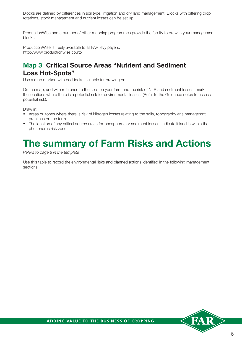Blocks are defined by differences in soil type, irrigation and dry land management. Blocks with differing crop rotations, stock management and nutrient losses can be set up.

ProductionWise and a number of other mapping programmes provide the facility to draw in your management blocks.

ProductionWise is freely available to all FAR levy payers. http://www.productionwise.co.nz/

### **Map 3 Critical Source Areas "Nutrient and Sediment Loss Hot-Spots"**

Use a map marked with paddocks, suitable for drawing on.

On the map, and with reference to the soils on your farm and the risk of N, P and sediment losses, mark the locations where there is a potential risk for environmental losses. (Refer to the Guidance notes to assess potential risk).

Draw in:

- Areas or zones where there is risk of Nitrogen losses relating to the soils, topography ans managemnt practices on the farm.
- The location of any critical source areas for phosphorus or sediment losses. Indicate if land is within the phosphorus risk zone.

### **The summary of Farm Risks and Actions**

*Refers to page 8 in the template*

Use this table to record the environmental risks and planned actions identified in the following management sections.

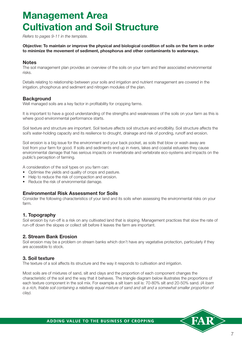# **Management Area Cultivation and Soil Structure**

*Refers to pages 9-11 in the template.*

**Objective: To maintain or improve the physical and biological condition of soils on the farm in order to minimize the movement of sediment, phosphorus and other contaminants to waterways.**

#### **Notes**

The soil management plan provides an overview of the soils on your farm and their associated environmental risks.

Details relating to relationship between your soils and irrigation and nutrient management are covered in the irrigation, phosphorus and sediment and nitrogen modules of the plan.

#### **Background**

Well managed soils are a key factor in profitability for cropping farms.

It is important to have a good understanding of the strengths and weaknesses of the soils on your farm as this is where good environmental performance starts.

Soil texture and structure are important. Soil texture affects soil structure and erodibility. Soil structure affects the soil's water-holding capacity and its resilience to drought, drainage and risk of ponding, runoff and erosion.

Soil erosion is a big issue for the environment and your back pocket, as soils that blow or wash away are lost from your farm for good. If soils and sediments end up in rivers, lakes and coastal estuaries they cause environmental damage that has serious impacts on invertebrate and vertebrate eco-systems and impacts on the public's perception of farming.

A consideration of the soil types on you farm can:

- Optimise the yields and quality of crops and pasture.
- Help to reduce the risk of compaction and erosion.
- Reduce the risk of environmental damage.

#### **Environmental Risk Assessment for Soils**

Consider the following characteristics of your land and its soils when assessing the environmental risks on your farm.

#### **1. Topography**

Soil erosion by run-off is a risk on any cultivated land that is sloping. Management practices that slow the rate of run-off down the slopes or collect silt before it leaves the farm are important.

#### **2. Stream Bank Erosion**

Soil erosion may be a problem on stream banks which don't have any vegetative protection, particularly if they are accessible to stock.

#### **3. Soil texture**

The texture of a soil affects its structure and the way it responds to cultivation and irrigation.

Most soils are of mixtures of sand, silt and clays and the proportion of each component changes the characteristic of the soil and the way that it behaves. The triangle diagram below illustrates the proportions of each texture component in the soil mix. For example a silt loam soil is: 70-80% silt and 20-50% sand. *(A loam*  is a rich, friable soil containing a relatively equal mixture of sand and silt and a somewhat smaller proportion of *clay).*

7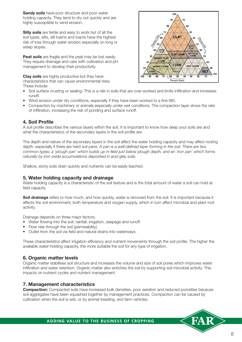**Sandy soils** have poor structure and poor water holding capacity. They tend to dry out quickly and are highly susceptible to wind erosion.

**Silty soils** are fertile and easy to work but of all the soil types, silts, silt loams and loams have the highest risk of loss through water erosion especially on long or steep slopes.

**Peat soils** are fragile and the peat may be lost easily. They require drainage and care with cultivation and pH management to develop their productivity.

**Clay soils** are highly productive but they have characteristics that can cause environmental risks. These include:



- Soil surface crusting or sealing. This is a risk in soils that are over-worked and limits infiltration and increases runoff.
- Wind erosion under dry conditions, especially if they have been worked to a fine tilth.
- Compaction by machinery or animals especially under wet conditions. The compaction layer slows the rate of infiltration, increasing the risk of ponding and surface runoff.

#### **4. Soil Profile**

A soil profile describes the various layers within the soil. It is important to know how deep your soils are and what the characteristics of the secondary layers in the soil profile are.

The depth and nature of the secondary layers in the soil affect the water holding capacity and may affect rooting depth, especially if there are hard soil pans. *A pan is a well-defined layer forming in the soil. There are two common types; a 'plough pan' which builds up in-field just below plough depth, and an 'iron pan' which forms naturally by iron oxide accumulations deposited in acid gley soils.*

Shallow, stony soils drain quickly and nutrients can be easily leached.

#### **5. Water holding capacity and drainage**

Water holding capacity is a characteristic of the soil texture and is the total amount of water a soil can hold at field capacity.

**Soil drainage** refers to how much, and how quickly, water is removed from the soil. It is important because it affects the soil environment, both temperature and oxygen supply, which in turn affect microbial and plant root activity.

Drainage depends on three major factors:

- Water flowing into the soil; rainfall, irrigation, seepage and runoff.
- Flow rate through the soil (permeability).
- Outlet from the soil via field and natural drains into waterways.

These characteristics affect irrigation efficiency and nutrient movements through the soil profile. The higher the available water-holding capacity, the more suitable the soil for any type of irrigation.

#### **6. Organic matter levels**

Organic matter stabilises soil structure and increases the volume and size of soil pores which improves water infiltration and water retention. Organic matter also enriches the soil by supporting soil microbial activity. This impacts on nutrient cycles and nutrient management.

#### **7. Management characteristics**

**Compaction:** Compacted soils have increased bulk densities, poor aeration and reduced porosities because soil aggregates have been squashed together by management practices. Compaction can be caused by cultivation when the soil is wet, or by animal treading, and farm vehicles.

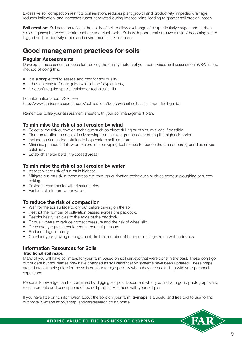Excessive soil compaction restricts soil aeration, reduces plant growth and productivity, impedes drainage, reduces infiltration, and increases runoff generated during intense rains, leading to greater soil erosion losses.

**Soil aeration:** Soil aeration reflects the ability of soil to allow exchange of air (particularly oxygen and carbon dioxide gases) between the atmosphere and plant roots. Soils with poor aeration have a risk of becoming water logged and productivity drops and environmental risksincrease.

### **Good management practices for soils**

#### **Regular Assessments**

Develop an assessment process for tracking the quality factors of your soils. Visual soil assessment (VSA) is one method of doing this.

- It is a simple tool to assess and monitor soil quality,
- It has an easy to follow guide which is self-explanatory,
- It doesn't require special training or technical skills.

For information about VSA, see

http://www.landcareresearch.co.nz/publications/books/visual-soil-assessment-field-guide

Remember to file your assessment sheets with your soil management plan.

#### **To minimise the risk of soil erosion by wind**

- Select a low risk cultivation technique such as direct drilling or minimum tillage if possible.
- Plan the rotation to enable timely sowing to maximise ground cover during the high risk period.
- Include pasture in the rotation to help restore soil structure.
- Minimise periods of fallow or explore inter-cropping techniques to reduce the area of bare ground as crops establish.
- Establish shelter belts in exposed areas.

#### **To minimise the risk of soil erosion by water**

- Assess where risk of run-off is highest.
- Mitigate run-off risk in these areas e.g. through cultivation techniques such as contour ploughing or furrow dyking.
- Protect stream banks with riparian strips.
- Exclude stock from water ways.

#### **To reduce the risk of compaction**

- Wait for the soil surface to dry out before driving on the soil.
- Restrict the number of cultivation passes across the paddock.
- Restrict heavy vehicles to the edge of the paddock.
- Fit dual wheels to reduce contact pressure and the risk of wheel slip.
- Decrease tyre pressures to reduce contact pressure.
- Reduce tillage intensity.
- Consider your grazing management; limit the number of hours animals graze on wet paddocks.

#### **Information Resources for Soils**

#### **Traditional soil maps**

Many of you will have soil maps for your farm based on soil surveys that were done in the past. These don't go out of date but soil names may have changed as soil classification systems have been updated. These maps are still are valuable guide for the soils on your farm,especially when they are backed-up with your personal experience.

Personal knowledge can be confirmed by digging soil pits. Document what you find with good photographs and measurements and descriptions of the soil profiles. File these with your soil plan.

If you have little or no information about the soils on your farm, **S-maps** is a useful and free tool to use to find out more. S-maps http://smap.landcareresearch.co.nz/home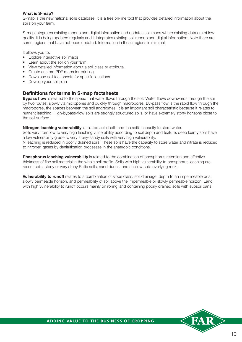#### **What is S-map?**

S-map is the new national soils database. It is a free on-line tool that provides detailed information about the soils on your farm.

S-map integrates existing reports and digital information and updates soil maps where existing data are of low quality. It is being updated regularly and it integrates existing soil reports and digital information. Note there are some regions that have not been updated. Information in these regions is minimal.

It allows you to:

- Explore interactive soil maps
- Learn about the soil on your farm
- View detailed information about a soil class or attribute.
- Create custom PDF maps for printing
- Download soil fact sheets for specific locations.
- Develop your soil plan

#### **Definitions for terms in S-map factsheets**

**Bypass flow** is related to the speed that water flows through the soil. Water flows downwards through the soil by two routes; slowly via micropores and quickly through macropores. By-pass flow is the rapid flow through the macropores, the spaces between the soil aggregates. It is an important soil characteristic because it relates to nutrient leaching. High-bypass-flow soils are strongly structured soils, or have extremely stony horizons close to the soil surface.

**Nitrogen leaching vulnerability** is related soil depth and the soil's capacity to store water.

Soils vary from low to very high leaching vulnerability according to soil depth and texture: deep loamy soils have a low vulnerability grade to very stony-sandy soils with very high vulnerability.

N leaching is reduced in poorly drained soils. These soils have the capacity to store water and nitrate is reduced to nitrogen gases by denitrification processes in the anaerobic conditions.

**Phosphorus leaching vulnerability** is related to the combination of phosphorus retention and effective thickness of fine soil material in the whole soil profile. Soils with high vulnerability to phosphorus leaching are recent soils, stony or very stony Pallic soils, sand dunes, and shallow soils overlying rock.

**Vulnerability to runoff** relates to a combination of slope class, soil drainage, depth to an impermeable or a slowly permeable horizon, and permeability of soil above the impermeable or slowly permeable horizon. Land with high vulnerability to runoff occurs mainly on rolling land containing poorly drained soils with subsoil pans.

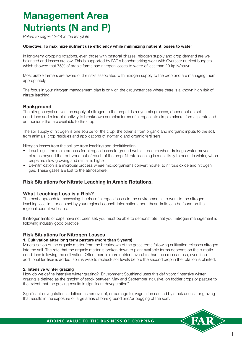# **Management Area Nutrients (N and P)**

*Refers to pages 12-14 in the template*

#### **Objective: To maximize nutrient use efficiency while minimizing nutrient losses to water**

In long-term cropping rotations, even those with pastoral phases, nitrogen supply and crop demand are well balanced and losses are low. This is supported by FAR's benchmarking work with Overseer nutrient budgets which showed that 75% of arable farms had nitrogen losses to water of less than 20 kg N/ha/yr.

Most arable farmers are aware of the risks associated with nitrogen supply to the crop and are managing them appropriately.

The focus in your nitrogen management plan is only on the circumstances where there is a known high risk of nitrate leaching.

#### **Background**

The nitrogen cycle drives the supply of nitrogen to the crop. It is a dynamic process, dependent on soil conditions and microbial activity to breakdown complex forms of nitrogen into simple mineral forms (nitrate and ammonium) that are available to the crop.

The soil supply of nitrogen is one source for the crop, the other is from organic and inorganic inputs to the soil, from animals, crop residues and applications of inorganic and organic fertilisers.

Nitrogen losses from the soil are from leaching and denitrification.

- Leaching is the main process for nitrogen losses to ground water. It occurs when drainage water moves nitrates beyond the root-zone out of reach of the crop. Nitrate leaching is most likely to occur in winter, when crops are slow growing and rainfall is higher.
- De-nitrification is a microbial process where microorganisms convert nitrate, to nitrous oxide and nitrogen gas. These gases are lost to the atmosphere.

#### **Risk Situations for Nitrate Leaching in Arable Rotations.**

#### **What Leaching Loss is a Risk?**

The best approach for assessing the risk of nitrogen losses to the environment is to work to the nitrogen leaching loss limit or cap set by your regional council. Information about these limits can be found on the regional council websites.

If nitrogen limits or caps have not been set, you must be able to demonstrate that your nitrogen management is following industry good practice.

#### **Risk Situations for Nitrogen Losses**

#### **1. Cultivation after long term pasture (more than 5 years)**

Mineralisation of the organic matter from the breakdown of the grass roots following cultivation releases nitrogen into the soil. The rate that the organic matter is broken down to plant available forms depends on the climatic conditions following the cultivation. Often there is more nutrient available than the crop can use, even if no additional fertiliser is added, so it is wise to recheck soil levels before the second crop in the rotation is planted.

#### **2. Intensive winter grazing**

How do we define intensive winter grazing? Environment Southland uses this definition: "Intensive winter grazing is defined as the grazing of stock between May and September inclusive, on fodder crops or pasture to the extent that the grazing results in significant devegetation".

Significant devegetation is defined as removal of, or damage to, vegetation caused by stock access or grazing that results in the exposure of large areas of bare ground and/or pugging of the soil".

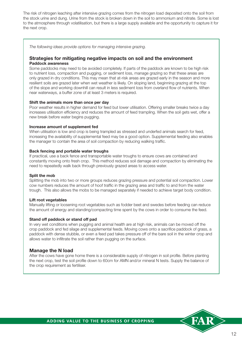The risk of nitrogen leaching after intensive grazing comes from the nitrogen load deposited onto the soil from the stock urine and dung. Urine from the stock is broken down in the soil to ammonium and nitrate. Some is lost to the atmosphere through volatilisation, but there is a large supply available and the opportunity to capture it for the next crop.

*The following ideas provide options for managing intensive grazing.* 

#### **Strategies for mitigating negative impacts on soil and the environment Paddock awareness**

Some paddocks may need to be avoided completely. If parts of the paddock are known to be high risk to nutrient loss, compaction and pugging, or sediment loss, manage grazing so that these areas are only grazed in dry conditions. This may mean that at-risk areas are grazed early in the season and more resilient soils are grazed later when wet weather is likely. On sloping land, beginning grazing at the top of the slope and working downhill can result in less sediment loss from overland flow of nutrients. When near waterways, a buffer zone of at least 3 meters is required.

#### **Shift the animals more than once per day**

Poor weather results in higher demand for feed but lower utilisation. Offering smaller breaks twice a day increases utilisation efficiency and reduces the amount of feed trampling. When the soil gets wet, offer a new break before water begins pugging.

#### **Increase amount of supplement fed**

When utilisation is low and crop is being trampled as stressed and underfed animals search for feed, increasing the availability of supplemental feed may be a good option. Supplemental feeding also enables the manager to contain the area of soil compaction by reducing walking traffic.

#### **Back fencing and portable water troughs**

If practical, use a back fence and transportable water troughs to ensure cows are contained and constantly moving onto fresh crop. This method reduces soil damage and compaction by eliminating the need to repeatedly walk back through previously grazed areas to access water.

#### **Split the mob**

Splitting the mob into two or more groups reduces grazing pressure and potential soil compaction. Lower cow numbers reduces the amount of hoof traffic in the grazing area and traffic to and from the water trough. This also allows the mobs to be managed separately if needed to achieve target body condition.

#### **Lift root vegetables**

Manually lifting or loosening root vegetables such as fodder beet and swedes before feeding can reduce the amount of energy and standing/compacting time spent by the cows in order to consume the feed.

#### **Stand off paddock or stand off pad**

In very wet conditions when pugging and animal health are at high risk, animals can be moved off the crop paddock and fed silage and supplemental feeds. Moving cows onto a sacrifice paddock of grass, a paddock with dense stubble, or even a feed pad takes pressure off of the bare soil in the winter crop and allows water to infiltrate the soil rather than pugging on the surface.

#### **Manage the N load**

After the cows have gone home there is a considerable supply of nitrogen in soil profile. Before planting the next crop, test the soil profile down to 60cm for AMN and/or mineral N tests. Supply the balance of the crop requirement as fertiliser.

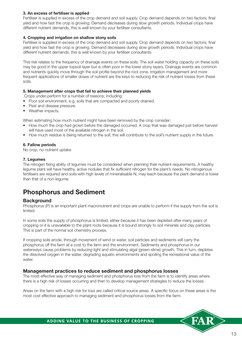#### **3. An excess of fertiliser is applied**

Fertiliser is supplied in excess of the crop demand and soil supply. Crop demand depends on two factors; final yield and how fast the crop is growing. Demand decreases during slow growth periods. Individual crops have different nutrient demands, this is well known by your fertiliser consultants.

#### **4. Cropping and irrigation on shallow stony soils**

Fertiliser is supplied in excess of the crop demand and soil supply. Crop demand depends on two factors; final yield and how fast the crop is growing. Demand decreases during slow growth periods. Individual crops have different nutrient demands, this is well known by your fertiliser consultants.

This risk relates to the frequency of drainage events on these soils. The soil water holding capacity on these soils may be good in the upper topsoil layer but is often poor in the lower stony layers. Drainage events are common and nutrients quickly move through the soil profile beyond the root zone. Irrigation management and more frequent applications of smaller doses of nutrient are the keys to reducing the risk of nutrient losses from these soils.

#### **5. Management after crops that fail to achieve their planned yields**

Crops under-perform for a number of reasons; including:

- Poor soil environment, e.g. soils that are compacted and poorly drained.
- Pest and disease pressure.
- Weather impacts.

When estimating how much nutrient might have been removed by the crop consider:

- How much the crop had grown before the damaged occurred. A crop that was damaged just before harvest will have used most of the available nitrogen in the soil.
- How much residue is being returned to the soil; this will contribute to the soil's nutrient supply in the future.

#### **6. Fallow periods**

No crop, no nutrient uptake

#### **7. Legumes**

The nitrogen fixing ability of legumes must be considered when planning their nutrient requirements. A healthy legume plant will have healthy, active nodules that fix sufficient nitrogen for the plant's needs. No nitrogenous fertilisers are required and soils with high levels of mineralisable N, may leach because the plant demand is lower than that of a non-legume.

### **Phosphorus and Sediment**

#### **Background**

Phosphorus (P) is an important plant macronutrient and crops are unable to perform if the supply from the soil is limited.

In some soils the supply of phosphorus is limited, either because it has been depleted after many years of cropping or it is unavailable to the plant roots because it is bound strongly to soil minerals and clay particles. This is part of the normal soil chemistry process.

If cropping soils erode, through movement of wind or water, soil particles and sediments will carry the phosphorus off the farm at a cost to the farm and the environment. Sediments and phosphorus in our waterways cause problems by reducing light and stimulating algal (green-slime) growth. This in turn, depletes the dissolved oxygen in the water, degrading aquatic environments and spoiling the recreational value of the water.

#### **Management practices to reduce sediment and phosphorus losses**

The most effective way of managing sediment and phosphorus loss from the farm is to identify areas where there is a high risk of losses occurring and then to develop management strategies to reduce the losses.

Areas on the farm with a high risk for loss are called critical source areas. A specific focus on these areas is the most cost effective approach to managing sediment and phosphorus losses from the farm.

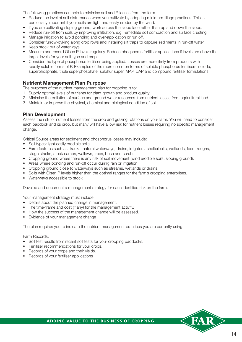The following practices can help to minimise soil and P losses from the farm.

- Reduce the level of soil disturbance when you cultivate by adopting minimum tillage practices. This is particularly important if your soils are light and easily eroded by the wind.
- If you are cultivating sloping ground, work across the slope face rather than up and down the slope.
- Reduce run-off from soils by improving infiltration, e.g. remediate soil compaction and surface crusting.
- Manage irrigation to avoid ponding and over-application or run off.
- Consider furrow-dyking along crop rows and installing silt traps to capture sediments in run-off water.
- Keep stock out of waterways.
- Measure and record Olsen P levels regularly. Reduce phosphorus fertiliser applications if levels are above the target levels for your soil-type and crop.
- Consider the type of phosphorus fertiliser being applied. Losses are more likely from products with readily soluble forms of P. Examples of the more common forms of soluble phosphorus fertilisers include; superphosphate, triple superphosphate, sulphur super, MAP, DAP and compound fertiliser formulations.

#### **Nutrient Management Plan Purpose**

The purposes of the nutrient management plan for cropping is to:

- 1. Supply optimal levels of nutrients for plant growth and product quality.
- 2. Minimise the pollution of surface and ground water resources from nutrient losses from agricultural land.
- 3. Maintain or improve the physical, chemical and biological condition of soil.

#### **Plan Development**

Assess the risk for nutrient losses from the crop and grazing rotations on your farm. You will need to consider each paddock and its crop, but many will have a low risk for nutrient losses requiring no specific management change.

Critical Source areas for sediment and phosphorus losses may include:

- Soil types: light easily erodible soils
- Farm features such as: tracks, natural waterways, drains, irrigators, shelterbelts, wetlands, feed troughs, silage stacks, stock camps, wallows, trees, bush and scrub.
- Cropping ground where there is any risk of soil movement (wind erodible soils, sloping ground).
- Areas where ponding and run-off occur during rain or irrigation.
- Cropping ground close to waterways such as streams, wetlands or drains,
- Soils with Olsen P levels higher than the optimal ranges for the farm's cropping enterprises.
- Waterways accessible to stock

Develop and document a management strategy for each identified risk on the farm.

Your management strategy must include:

- Details about the planned change in management.
- The time-frame and cost (if any) for the management activity.
- How the success of the management change will be assessed.
- Evidence of your management change

The plan requires you to indicate the nutrient management practices you are currently using.

#### Farm Records:

- Soil test results from recent soil tests for your cropping paddocks.
- Fertiliser recommendations for your crops.
- Records of your crops and their yields.
- Records of your fertiliser applications

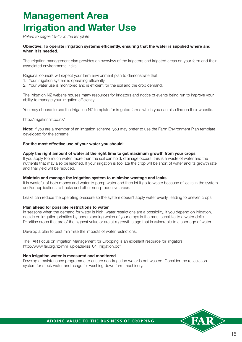# **Management Area Irrigation and Water Use**

*Refers to pages 15-17 in the template*

#### **Objective: To operate irrigation systems efficiently, ensuring that the water is supplied where and when it is needed.**

The irrigation management plan provides an overview of the irrigators and irrigated areas on your farm and their associated environmental risks.

Regional councils will expect your farm environment plan to demonstrate that:

- 1. Your irrigation system is operating efficiently.
- 2. Your water use is monitored and is efficient for the soil and the crop demand.

The Irrigation NZ website houses many resources for irrigators and notice of events being run to improve your ability to manage your irrigation efficiently.

You may choose to use the Irrigation NZ template for irrigated farms which you can also find on their website.

http://irrigationnz.co.nz/

**Note:** If you are a member of an irrigation scheme, you may prefer to use the Farm Environment Plan template developed for the scheme.

#### **For the most effective use of your water you should:**

#### **Apply the right amount of water at the right time to get maximum growth from your crops**

If you apply too much water, more than the soil can hold, drainage occurs, this is a waste of water and the nutrients that may also be leached. If your irrigation is too late the crop will be short of water and its growth rate and final yield will be reduced.

#### **Maintain and manage the irrigation system to minimise wastage and leaks**

It is wasteful of both money and water to pump water and then let it go to waste because of leaks in the system and/or applications to tracks and other non-productive areas.

Leaks can reduce the operating pressure so the system doesn't apply water evenly, leading to uneven crops.

#### **Plan ahead for possible restrictions to water**

In seasons when the demand for water is high, water restrictions are a possibility. If you depend on irrigation, decide on irrigation priorities by understanding which of your crops is the most sensitive to a water deficit. Prioritise crops that are of the highest value or are at a growth stage that is vulnerable to a shortage of water.

Develop a plan to best minimise the impacts of water restrictions.

The FAR Focus on Irrigation Management for Cropping is an excellent resource for irrigators. http://www.far.org.nz/mm\_uploads/Iss\_04\_Irrigation.pdf

#### **Non irrigation water is measured and monitored**

Develop a maintenance programme to ensure non-irrigation water is not wasted. Consider the reticulation system for stock water and usage for washing down farm machinery.

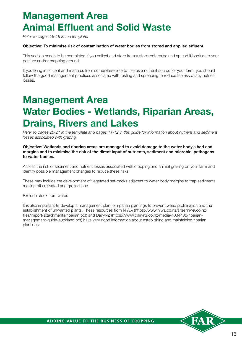# **Management Area Animal Effluent and Solid Waste**

*Refer to pages 18-19 in the template.*

#### **Objective: To minimise risk of contamination of water bodies from stored and applied effluent.**

This section needs to be completed if you collect and store from a stock enterprise and spread it back onto your pasture and/or cropping ground.

If you bring in effluent and manures from somewhere else to use as a nutrient source for your farm, you should follow the good management practices associated with testing and spreading to reduce the risk of any nutrient losses.

# **Management Area Water Bodies - Wetlands, Riparian Areas, Drains, Rivers and Lakes**

*Refer to pages 20-21 in the template and pages 11-12 in this guide for information about nutrient and sediment losses associated with grazing.* 

**Objective: Wetlands and riparian areas are managed to avoid damage to the water body's bed and margins and to minimise the risk of the direct input of nutrients, sediment and microbial pathogens to water bodies.**

Assess the risk of sediment and nutrient losses associated with cropping and animal grazing on your farm and identify possible management changes to reduce these risks.

These may include the development of vegetated set-backs adjacent to water body margins to trap sediments moving off cultivated and grazed land.

Exclude stock from water.

It is also important to develop a management plan for riparian plantings to prevent weed proliferation and the establishment of unwanted plants. These resources from NIWA (https://www.niwa.co.nz/sites/niwa.co.nz/ files/import/attachments/riparian.pdf) and DairyNZ (https://www.dairynz.co.nz/media/4034406/riparianmanagement-guide-auckland.pdf) have very good information about establishing and maintaining riparian plantings.

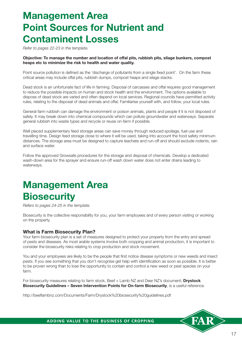# **Management Area Point Sources for Nutrient and Contaminent Losses**

*Refer to pages 22-23 in the template.* 

#### **Objective: To manage the number and location of offal pits, rubbish pits, silage bunkers, compost heaps etc to minimize the risk to health and water quality.**

Point source pollution is defined as the 'discharge of pollutants from a single fixed point'. On the farm these critical areas may include offal pits, rubbish dumps, compost heaps and silage stacks.

Dead stock is an unfortunate fact of life in farming. Disposal of carcasses and offal requires good management to reduce the possible impacts on human and stock health and the environment. The options available to dispose of dead stock are varied and often depend on local services. Regional councils have permitted activity rules, relating to the disposal of dead animals and offal. Familiarise yourself with, and follow, your local rules.

General farm rubbish can damage the environment or poison animals, plants and people if it is not disposed of safely. It may break down into chemical compounds which can pollute groundwater and waterways. Separate general rubbish into waste types and recycle or reuse on-farm if possible.

Well placed supplementary feed storage areas can save money through reduced spoilage, fuel use and travelling time. Design feed storage close to where it will be used, taking into account the food safety minimum distances. The storage area must be designed to capture leachate and run-off and should exclude rodents, rain and surface water.

Follow the approved Growsafe procedures for the storage and disposal of chemicals. Develop a dedicated wash-down area for the sprayer and ensure run-off wash down water does not enter drains leading to waterways.

# **Management Area Biosecurity**

*Refers to pages 24-25 in the template.*

Biosecurity is the collective responsibility for you, your farm employees and of every person visiting or working on the property.

#### **What is Farm Biosecurity Plan?**

Your farm biosecurity plan is a set of measures designed to protect your property from the entry and spread of pests and diseases. As most arable systems involve both cropping and animal production, it is important to consider the biosecurity risks relating to crop production and stock movement.

You and your employees are likely to be the people that first notice disease symptoms or new weeds and insect pests. If you see something that you don't recognise get help with identification as soon as possible. It is better to be proven wrong than to lose the opportunity to contain and control a new weed or pest species on your farm.

For biosecurity measures relating to farm stock, Beef + Lamb NZ and Deer NZ's document; **Drystock Biosecurity Guidelines – Seven Intervention Points for On-farm Biosecurity**, is a useful reference.

http://beeflambnz.com/Documents/Farm/Drystock%20biosecurity%20guidelines.pdf

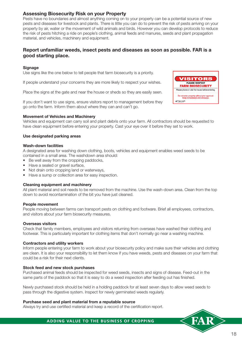#### **Assessing Biosecurity Risk on your Property**

Pests have no boundaries and almost anything coming on to your property can be a potential source of new pests and diseases for livestock and plants. There is little you can do to prevent the risk of pests arriving on your property by air, water or the movement of wild animals and birds. However you can develop protocols to reduce the risk of pests hitching a ride on people's clothing, animal feeds and manures, seeds and plant propagation material, and vehicles, machinery and equipment.

#### **Report unfamiliar weeds, insect pests and diseases as soon as possible. FAR is a good starting place.**

#### **Signage**

Use signs like the one below to tell people that farm biosecurity is a priority.

If people understand your concerns they are more likely to respect your wishes.

Place the signs at the gate and near the house or sheds so they are easily seen.

If you don't want to use signs, ensure visitors report to management before they go onto the farm. Inform them about where they can and can't go.



#### **Movement of Vehicles and Machinery**

Vehicles and equipment can carry soil and plant debris onto your farm. All contractors should be requested to have clean equipment before entering your property. Cast your eye over it before they set to work.

#### **Use designated parking areas**

#### **Wash-down facilities**

A designated area for washing down clothing, boots, vehicles and equipment enables weed seeds to be contained in a small area. The washdown area should:

- Be well away from the cropping paddocks,
- Have a sealed or gravel surface,
- Not drain onto cropping land or waterways,
- Have a sump or collection area for easy inspection.

#### **Cleaning equipment and machinery**

All plant material and soil needs to be removed from the machine. Use the wash-down area. Clean from the top down to avoid recontamination of the bit you have just cleaned.

#### **People movement**

People moving between farms can transport pests on clothing and footware. Brief all employees, contractors, and visitors about your farm biosecurity measures.

#### **Overseas visitors**

Check that family members, employees and visitors returning from overseas have washed their clothing and footwear. This is particularly important for clothing items that don't normally go near a washing machine.

#### **Contractors and utility workers**

Inform people entering your farm to work about your biosecurity policy and make sure their vehicles and clothing are clean. It is also your responsibility to let them know if you have weeds, pests and diseases on your farm that could be a risk for their next clients.

#### **Stock feed and new stock purchases**

Purchased animal feeds should be inspected for weed seeds, insects and signs of disease. Feed-out in the same parts of the paddock so that it is easy to do a weed inspection after feeding out has finished.

Newly purchased stock should be held in a holding paddock for at least seven days to allow weed seeds to pass through the digestive system. Inspect for newly germinated weeds regularly.

#### **Purchase seed and plant material from a reputable source**

Always try and use certified material and keep a record of the certification report.

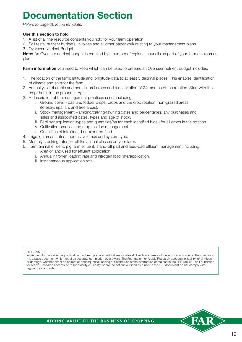# **Documentation Section**

*Refers to page 26 in the template.*

#### **Use this section to hold**

- 1. A list of all the resource consents you hold for your farm operation
- 2. Soil tests, nutrient budgets, invoices and all other paperwork relating to your management plans.
- 3. Overseer Nutrient Budget

**Note:** An Overseer nutrient budget is required by a number of regional councils as part of your farm environment plan.

**Farm information** you need to keep which can be used to prepare an Overseer nutrient budget includes:

- 1. The location of the farm; latitude and longitude data to at least 3 decimal places. This enables identification of climate and soils for the farm.
- 2. Annual yield of arable and horticultural crops and a description of 24 months of the rotation. Start with the crop that is in the ground in April.
- 3. A description of the management practices used, including:
	- i. Ground cover pasture, fodder crops, crops and the crop rotation, non-grazed areas (forestry, riparian, and tree areas).
	- ii. Stock management –lambing/calving/fawning dates and percentages, any purchases and sales and associated dates, types and age of stock.
	- iii. Fertiliser application-types and quantities/ha for each identified block for all crops in the rotation.
	- iv. Cultivation practice and crop residue management.
	- v. Quantities of introduced or exported feed.
- 4. Irrigation areas: rates, monthly volumes and system type.
- 5. Monthly stocking rates for all the animal classes on your farm.
- 6. Farm animal effluent, pig farm effluent, stand-off pad and feed-pad effluent management including;
	- i. Area of land used for effluent application.
	- ii. Annual nitrogen loading rate and nitrogen load rate/application.
	- iii. Instantaneous application rate.

#### DISCLAIMER

While the information in this publication has been prepared with all reasonable skill and care, users of the information do so at their own risk. It is a base document which requires accurate completion by growers. The Foundation for Arable Research accepts no liability for any loss or damage, whether direct or indirect or consequential, arising out of the use of the information contained in the FEP Toolkit. The Foundation for Arable Research accepts no responsibility or liability where the actions outlined by a user in the FEP document do not comply with regulatory standards.